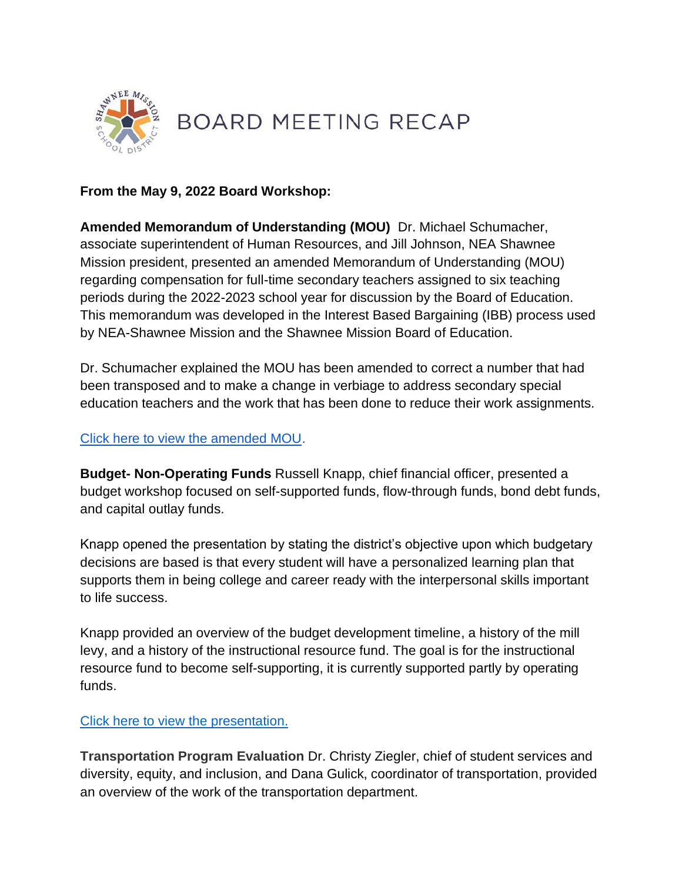

## **From the May 9, 2022 Board Workshop:**

**Amended Memorandum of Understanding (MOU)** Dr. Michael Schumacher, associate superintendent of Human Resources, and Jill Johnson, NEA Shawnee Mission president, presented an amended Memorandum of Understanding (MOU) regarding compensation for full-time secondary teachers assigned to six teaching periods during the 2022-2023 school year for discussion by the Board of Education[.](https://go.boarddocs.com/ks/smsd/Board.nsf/files/CE4KGB51B934/$file/Amended%20MOU%20re%20Comp%20for%20Secondary%20Teachers%20on%206_7%20Schedule%20during%202022-23%20SY.pdf) This memorandum was developed in the Interest Based Bargaining (IBB) process used by NEA-Shawnee Mission and the Shawnee Mission Board of Education.

Dr. Schumacher explained the MOU has been amended to correct a number that had been transposed and to make a change in verbiage to address secondary special education teachers and the work that has been done to reduce their work assignments.

### [Click here to view the amended MOU.](https://go.boarddocs.com/ks/smsd/Board.nsf/files/CE4KGB51B934/$file/Amended%20MOU%20re%20Comp%20for%20Secondary%20Teachers%20on%206_7%20Schedule%20during%202022-23%20SY.pdf)

**Budget- Non-Operating Funds** Russell Knapp, chief financial officer, presented a budget workshop focused on self-supported funds, flow-through funds, bond debt funds, and capital outlay funds.

Knapp opened the presentation by stating the district's objective upon which budgetary decisions are based is that every student will have a personalized learning plan that supports them in being college and career ready with the interpersonal skills important to life success.

Knapp provided an overview of the budget development timeline, a history of the mill levy, and a history of the instructional resource fund. The goal is for the instructional resource fund to become self-supporting, it is currently supported partly by operating funds.

### [Click here to view the presentation.](https://go.boarddocs.com/ks/smsd/Board.nsf/files/CE5H6S470160/$file/April%202022%20Workshop%20Presentation.pdf)

**Transportation Program Evaluation** Dr. Christy Ziegler, chief of student services and diversity, equity, and inclusion, and Dana Gulick, coordinator of transportation, provided an overview of the work of the transportation department.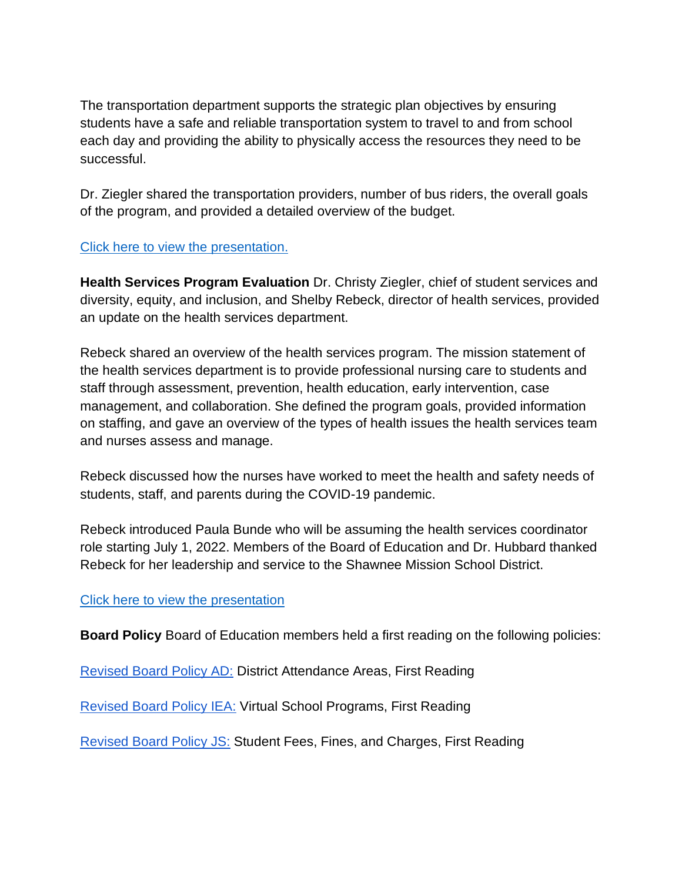The transportation department supports the strategic plan objectives by ensuring students have a safe and reliable transportation system to travel to and from school each day and providing the ability to physically access the resources they need to be successful.

Dr. Ziegler shared the transportation providers, number of bus riders, the overall goals of the program, and provided a detailed overview of the budget.

# [Click here to view the presentation.](https://go.boarddocs.com/ks/smsd/Board.nsf/files/CE9MBR589ED4/$file/2022%20Program%20Evaluation%20Presentation%20Transportation.pdf)

**Health Services Program Evaluation** Dr. Christy Ziegler, chief of student services and diversity, equity, and inclusion, and Shelby Rebeck, director of health services, provided an update on the health services department.

Rebeck shared an overview of the health services program. The mission statement of the health services department is to provide professional nursing care to students and staff through assessment, prevention, health education, early intervention, case management, and collaboration. She defined the program goals, provided information on staffing, and gave an overview of the types of health issues the health services team and nurses assess and manage.

Rebeck discussed how the nurses have worked to meet the health and safety needs of students, staff, and parents during the COVID-19 pandemic.

Rebeck introduced Paula Bunde who will be assuming the health services coordinator role starting July 1, 2022. Members of the Board of Education and Dr. Hubbard thanked Rebeck for her leadership and service to the Shawnee Mission School District.

## [Click here to view the presentation](https://go.boarddocs.com/ks/smsd/Board.nsf/files/CE9MC758B9A2/$file/2022%20Program%20Evaluation%20Presentation%20Health%20Services.pdf)

**Board Policy** Board of Education members held a first reading on the following policies:

[Revised Board Policy AD:](http://go.boarddocs.com/ks/smsd/Board.nsf/goto?open&id=CE3MG556E7B8) District Attendance Areas, First Reading

[Revised Board Policy IEA:](http://go.boarddocs.com/ks/smsd/Board.nsf/goto?open&id=CE3MFV56E3F0) Virtual School Programs, First Reading

[Revised Board Policy JS:](http://go.boarddocs.com/ks/smsd/Board.nsf/goto?open&id=CE3MG256E49B) Student Fees, Fines, and Charges, First Reading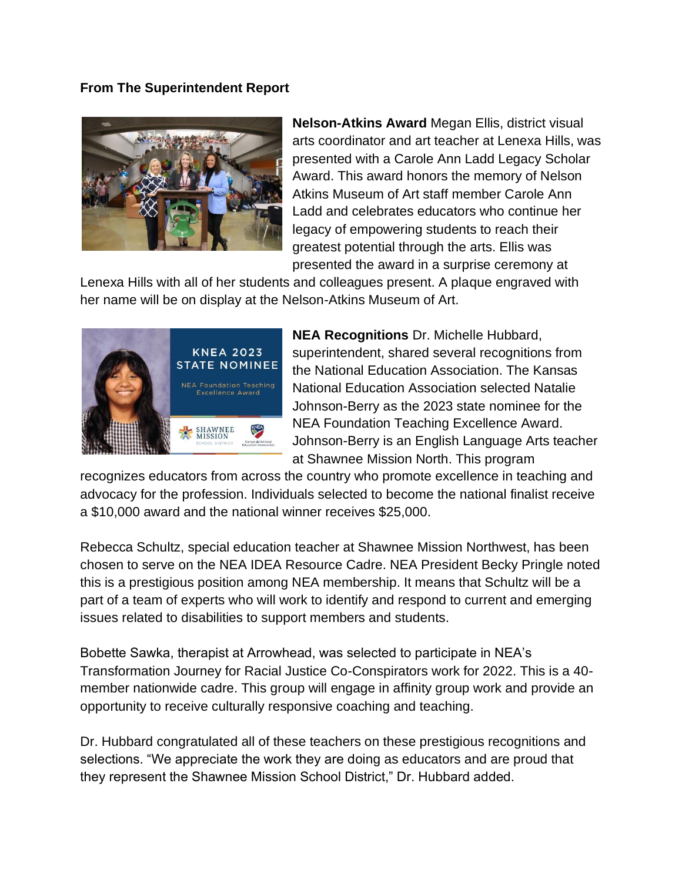### **From The Superintendent Report**



**Nelson-Atkins Award** Megan Ellis, district visual arts coordinator and art teacher at Lenexa Hills, was presented with a Carole Ann Ladd Legacy Scholar Award. This award honors the memory of Nelson Atkins Museum of Art staff member Carole Ann Ladd and celebrates educators who continue her legacy of empowering students to reach their greatest potential through the arts. Ellis was presented the award in a surprise ceremony at

Lenexa Hills with all of her students and colleagues present. A plaque engraved with her name will be on display at the Nelson-Atkins Museum of Art.



**NEA Recognitions** Dr. Michelle Hubbard, superintendent, shared several recognitions from the National Education Association. The Kansas National Education Association selected Natalie Johnson-Berry as the 2023 state nominee for the NEA Foundation Teaching Excellence Award. Johnson-Berry is an English Language Arts teacher at Shawnee Mission North. This program

recognizes educators from across the country who promote excellence in teaching and advocacy for the profession. Individuals selected to become the national finalist receive a \$10,000 award and the national winner receives \$25,000.

Rebecca Schultz, special education teacher at Shawnee Mission Northwest, has been chosen to serve on the NEA IDEA Resource Cadre. NEA President Becky Pringle noted this is a prestigious position among NEA membership. It means that Schultz will be a part of a team of experts who will work to identify and respond to current and emerging issues related to disabilities to support members and students.

Bobette Sawka, therapist at Arrowhead, was selected to participate in NEA's Transformation Journey for Racial Justice Co-Conspirators work for 2022. This is a 40 member nationwide cadre. This group will engage in affinity group work and provide an opportunity to receive culturally responsive coaching and teaching.

Dr. Hubbard congratulated all of these teachers on these prestigious recognitions and selections. "We appreciate the work they are doing as educators and are proud that they represent the Shawnee Mission School District," Dr. Hubbard added.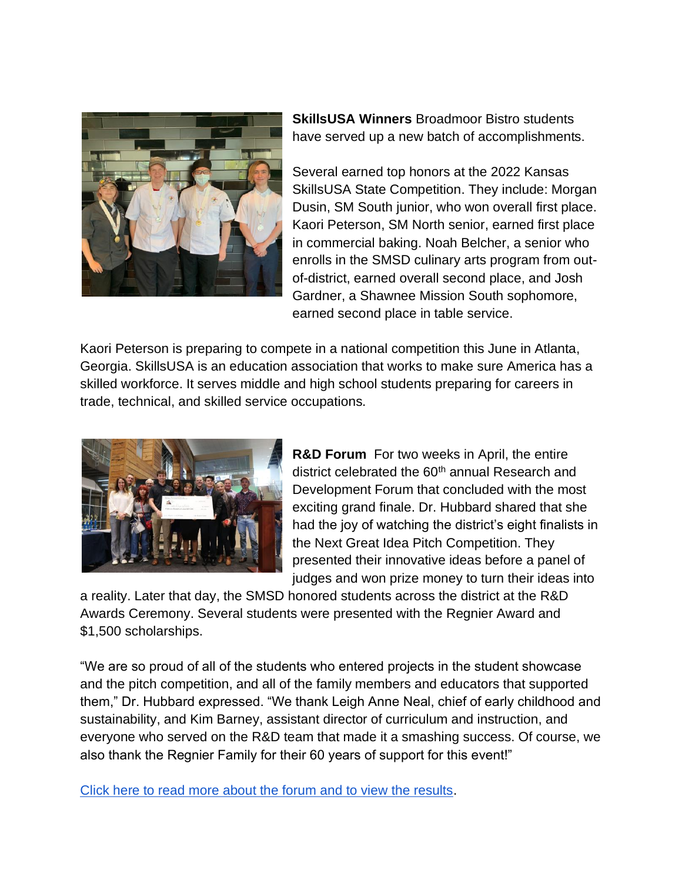

**SkillsUSA Winners** Broadmoor Bistro students have served up a new batch of accomplishments.

Several earned top honors at the 2022 Kansas SkillsUSA State Competition. They include: Morgan Dusin, SM South junior, who won overall first place. Kaori Peterson, SM North senior, earned first place in commercial baking. Noah Belcher, a senior who enrolls in the SMSD culinary arts program from outof-district, earned overall second place, and Josh Gardner, a Shawnee Mission South sophomore, earned second place in table service.

Kaori Peterson is preparing to compete in a national competition this June in Atlanta, Georgia. SkillsUSA is an education association that works to make sure America has a skilled workforce. It serves middle and high school students preparing for careers in trade, technical, and skilled service occupations.



**R&D Forum** For two weeks in April, the entire district celebrated the 60<sup>th</sup> annual Research and Development Forum that concluded with the most exciting grand finale. Dr. Hubbard shared that she had the joy of watching the district's eight finalists in the Next Great Idea Pitch Competition. They presented their innovative ideas before a panel of judges and won prize money to turn their ideas into

a reality. Later that day, the SMSD honored students across the district at the R&D Awards Ceremony. Several students were presented with the Regnier Award and \$1,500 scholarships.

"We are so proud of all of the students who entered projects in the student showcase and the pitch competition, and all of the family members and educators that supported them," Dr. Hubbard expressed. "We thank Leigh Anne Neal, chief of early childhood and sustainability, and Kim Barney, assistant director of curriculum and instruction, and everyone who served on the R&D team that made it a smashing success. Of course, we also thank the Regnier Family for their 60 years of support for this event!"

[Click here to read more about the forum and to view the results.](https://www.smsd.org/about/news-archives/news-archive-details/~board/2021-2022-district-news/post/honoring-innovators-at-60th-rd-forum)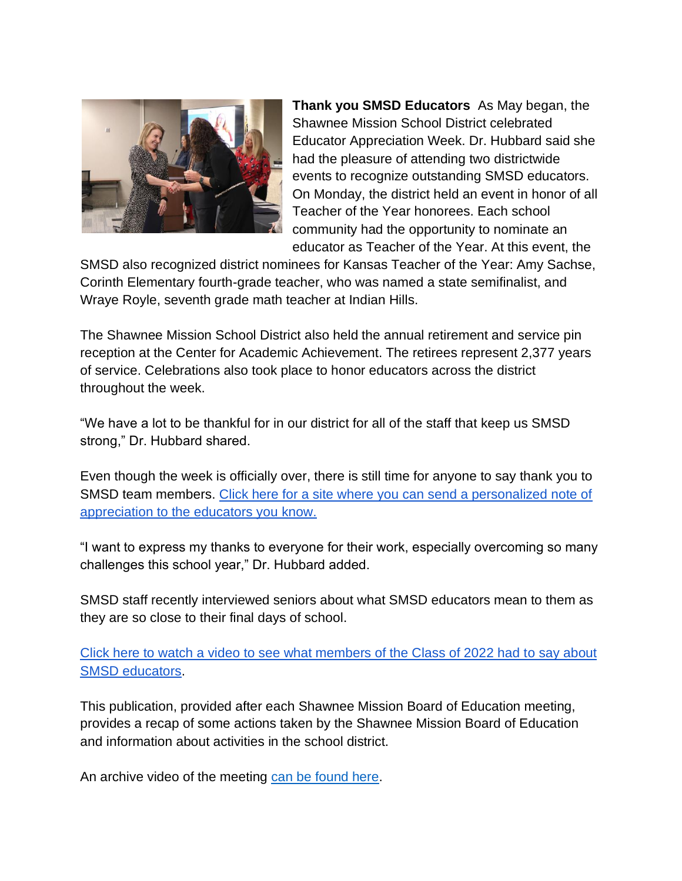

**Thank you SMSD Educators** As May began, the Shawnee Mission School District celebrated Educator Appreciation Week. Dr. Hubbard said she had the pleasure of attending two districtwide events to recognize outstanding SMSD educators. On Monday, the district held an event in honor of all Teacher of the Year honorees. Each school community had the opportunity to nominate an educator as Teacher of the Year. At this event, the

SMSD also recognized district nominees for Kansas Teacher of the Year: Amy Sachse, Corinth Elementary fourth-grade teacher, who was named a state semifinalist, and Wraye Royle, seventh grade math teacher at Indian Hills.

The Shawnee Mission School District also held the annual retirement and service pin reception at the Center for Academic Achievement. The retirees represent 2,377 years of service. Celebrations also took place to honor educators across the district throughout the week.

"We have a lot to be thankful for in our district for all of the staff that keep us SMSD strong," Dr. Hubbard shared.

Even though the week is officially over, there is still time for anyone to say thank you to SMSD team members[.](https://www.smsd.org/about/departments/communications/educator-appreciation-week) [Click here for a site where you can send a personalized note of](https://www.smsd.org/about/departments/communications/educator-appreciation-week)  [appreciation to the educators you know.](https://www.smsd.org/about/departments/communications/educator-appreciation-week) 

"I want to express my thanks to everyone for their work, especially overcoming so many challenges this school year," Dr. Hubbard added.

SMSD staff recently interviewed seniors about what SMSD educators mean to them as they are so close to their final days of school.

[Click here to watch a video to see what members of the Class of 2022 had to say about](https://youtu.be/vrr-KHc0xCA)  [SMSD educators.](https://youtu.be/vrr-KHc0xCA)

This publication, provided after each Shawnee Mission Board of Education meeting, provides a recap of some actions taken by the Shawnee Mission Board of Education and information about activities in the school district.

An archive video of the meeting [can be found here.](https://www.youtube.com/watch?v=qK8Nvry8z90)